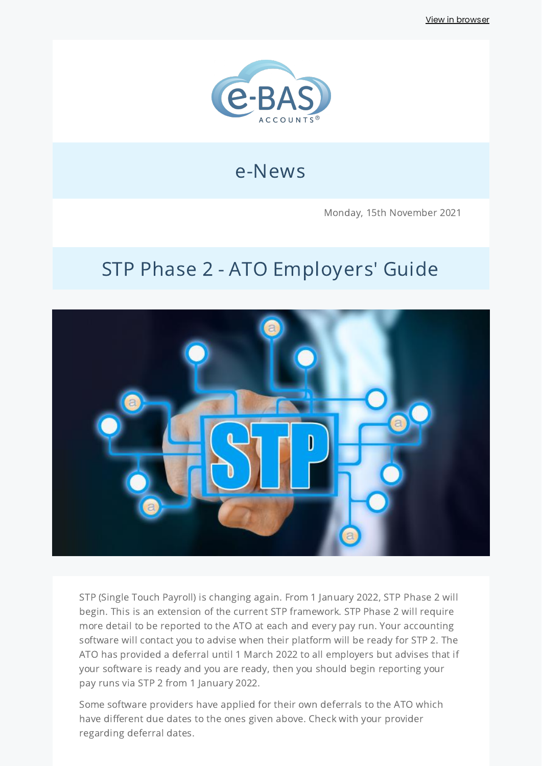View in [browser](http://localhost:3000/decode_hex/68747470733a2f2f707265766965772e6d61696c65726c6974652e636f6d2f7a3376337335)



## e-News

Monday, 15th November 2021

# STP Phase 2 - ATO Employers' Guide



STP (Single Touch Payroll) is changing again. From 1 January 2022, STP Phase 2 will begin. This is an extension of the current STP framework. STP Phase 2 will require more detail to be reported to the ATO at each and every pay run. Your accounting software will contact you to advise when their platform will be ready for STP 2. The ATO has provided a deferral until 1 March 2022 to all employers but advises that if your software is ready and you are ready, then you should begin reporting your pay runs via STP 2 from 1 January 2022.

Some software providers have applied for their own deferrals to the ATO which have different due dates to the ones given above. Check with your provider regarding deferral dates.